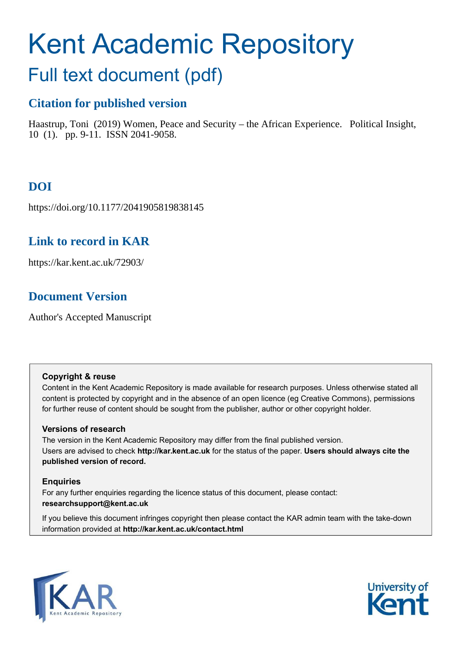# Kent Academic Repository

## Full text document (pdf)

### **Citation for published version**

Haastrup, Toni (2019) Women, Peace and Security – the African Experience. Political Insight, 10 (1). pp. 9-11. ISSN 2041-9058.

## **DOI**

https://doi.org/10.1177/2041905819838145

## **Link to record in KAR**

https://kar.kent.ac.uk/72903/

## **Document Version**

Author's Accepted Manuscript

#### **Copyright & reuse**

Content in the Kent Academic Repository is made available for research purposes. Unless otherwise stated all content is protected by copyright and in the absence of an open licence (eg Creative Commons), permissions for further reuse of content should be sought from the publisher, author or other copyright holder.

#### **Versions of research**

The version in the Kent Academic Repository may differ from the final published version. Users are advised to check **http://kar.kent.ac.uk** for the status of the paper. **Users should always cite the published version of record.**

#### **Enquiries**

For any further enquiries regarding the licence status of this document, please contact: **researchsupport@kent.ac.uk**

If you believe this document infringes copyright then please contact the KAR admin team with the take-down information provided at **http://kar.kent.ac.uk/contact.html**



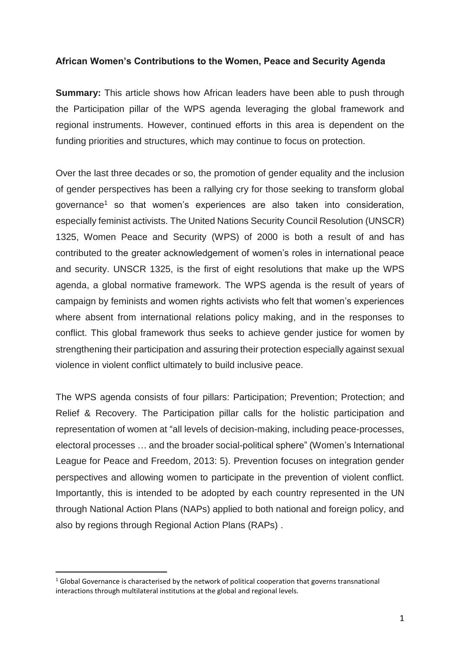#### **African Women's Contributions to the Women, Peace and Security Agenda**

**Summary:** This article shows how African leaders have been able to push through the Participation pillar of the WPS agenda leveraging the global framework and regional instruments. However, continued efforts in this area is dependent on the funding priorities and structures, which may continue to focus on protection.

Over the last three decades or so, the promotion of gender equality and the inclusion of gender perspectives has been a rallying cry for those seeking to transform global governance<sup>1</sup> so that women's experiences are also taken into consideration, especially feminist activists. The United Nations Security Council Resolution (UNSCR) 1325, Women Peace and Security (WPS) of 2000 is both a result of and has contributed to the greater acknowledgement of women's roles in international peace and security. UNSCR 1325, is the first of eight resolutions that make up the WPS agenda, a global normative framework. The WPS agenda is the result of years of campaign by feminists and women rights activists who felt that women's experiences where absent from international relations policy making, and in the responses to conflict. This global framework thus seeks to achieve gender justice for women by strengthening their participation and assuring their protection especially against sexual violence in violent conflict ultimately to build inclusive peace.

The WPS agenda consists of four pillars: Participation; Prevention; Protection; and Relief & Recovery. The Participation pillar calls for the holistic participation and representation of women at "all levels of decision-making, including peace-processes, electoral processes … and the broader social-political sphere" (Women's International League for Peace and Freedom, 2013: 5). Prevention focuses on integration gender perspectives and allowing women to participate in the prevention of violent conflict. Importantly, this is intended to be adopted by each country represented in the UN through National Action Plans (NAPs) applied to both national and foreign policy, and also by regions through Regional Action Plans (RAPs) .

 $\overline{a}$ 

 $<sup>1</sup>$  Global Governance is characterised by the network of political cooperation that governs transnational</sup> interactions through multilateral institutions at the global and regional levels.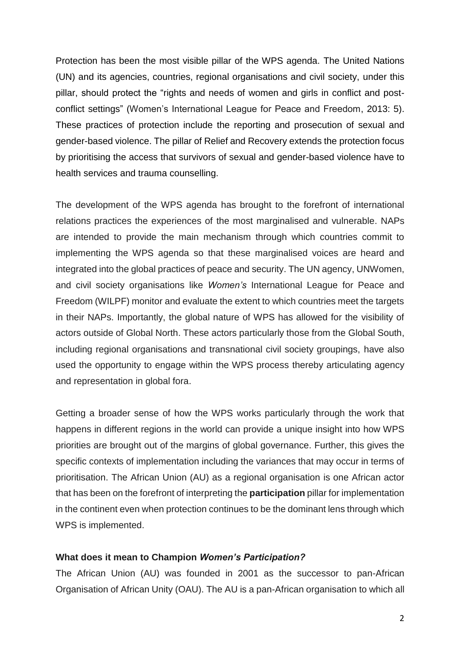Protection has been the most visible pillar of the WPS agenda. The United Nations (UN) and its agencies, countries, regional organisations and civil society, under this pillar, should protect the "rights and needs of women and girls in conflict and postconflict settings" (Women's International League for Peace and Freedom, 2013: 5). These practices of protection include the reporting and prosecution of sexual and gender-based violence. The pillar of Relief and Recovery extends the protection focus by prioritising the access that survivors of sexual and gender-based violence have to health services and trauma counselling.

The development of the WPS agenda has brought to the forefront of international relations practices the experiences of the most marginalised and vulnerable. NAPs are intended to provide the main mechanism through which countries commit to implementing the WPS agenda so that these marginalised voices are heard and integrated into the global practices of peace and security. The UN agency, UNWomen, and civil society organisations like *Women's* International League for Peace and Freedom (WILPF) monitor and evaluate the extent to which countries meet the targets in their NAPs. Importantly, the global nature of WPS has allowed for the visibility of actors outside of Global North. These actors particularly those from the Global South, including regional organisations and transnational civil society groupings, have also used the opportunity to engage within the WPS process thereby articulating agency and representation in global fora.

Getting a broader sense of how the WPS works particularly through the work that happens in different regions in the world can provide a unique insight into how WPS priorities are brought out of the margins of global governance. Further, this gives the specific contexts of implementation including the variances that may occur in terms of prioritisation. The African Union (AU) as a regional organisation is one African actor that has been on the forefront of interpreting the **participation** pillar for implementation in the continent even when protection continues to be the dominant lens through which WPS is implemented.

#### **What does it mean to Champion** *Women's Participation?*

The African Union (AU) was founded in 2001 as the successor to pan-African Organisation of African Unity (OAU). The AU is a pan-African organisation to which all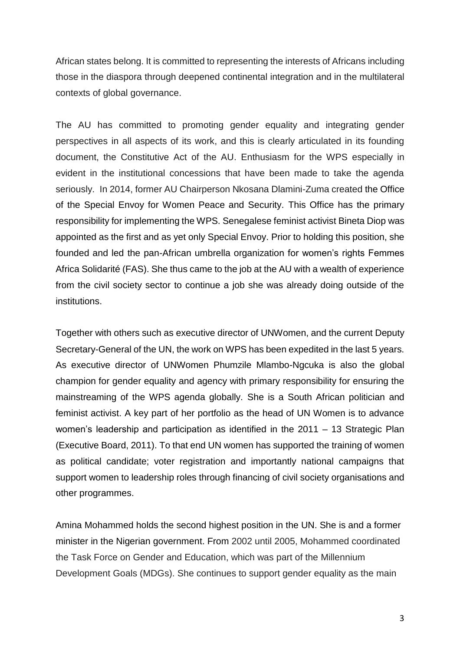African states belong. It is committed to representing the interests of Africans including those in the diaspora through deepened continental integration and in the multilateral contexts of global governance.

The AU has committed to promoting gender equality and integrating gender perspectives in all aspects of its work, and this is clearly articulated in its founding document, the Constitutive Act of the AU. Enthusiasm for the WPS especially in evident in the institutional concessions that have been made to take the agenda seriously. In 2014, former AU Chairperson Nkosana Dlamini-Zuma created the Office of the Special Envoy for Women Peace and Security. This Office has the primary responsibility for implementing the WPS. Senegalese feminist activist Bineta Diop was appointed as the first and as yet only Special Envoy. Prior to holding this position, she founded and led the pan-African umbrella organization for women's rights Femmes Africa Solidarité (FAS). She thus came to the job at the AU with a wealth of experience from the civil society sector to continue a job she was already doing outside of the institutions.

Together with others such as executive director of UNWomen, and the current Deputy Secretary-General of the UN, the work on WPS has been expedited in the last 5 years. As executive director of UNWomen Phumzile Mlambo-Ngcuka is also the global champion for gender equality and agency with primary responsibility for ensuring the mainstreaming of the WPS agenda globally. She is a South African politician and feminist activist. A key part of her portfolio as the head of UN Women is to advance women's leadership and participation as identified in the 2011 – 13 Strategic Plan (Executive Board, 2011). To that end UN women has supported the training of women as political candidate; voter registration and importantly national campaigns that support women to leadership roles through financing of civil society organisations and other programmes.

Amina Mohammed holds the second highest position in the UN. She is and a former minister in the Nigerian government. From 2002 until 2005, Mohammed coordinated the Task Force on Gender and Education, which was part of the Millennium Development Goals (MDGs). She continues to support gender equality as the main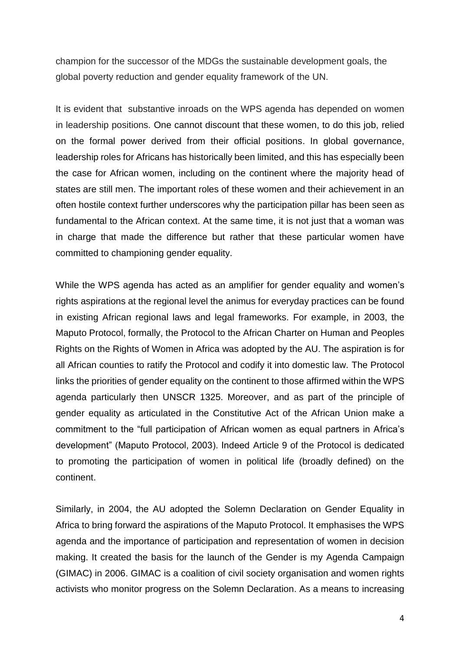champion for the successor of the MDGs the sustainable development goals, the global poverty reduction and gender equality framework of the UN.

It is evident that substantive inroads on the WPS agenda has depended on women in leadership positions. One cannot discount that these women, to do this job, relied on the formal power derived from their official positions. In global governance, leadership roles for Africans has historically been limited, and this has especially been the case for African women, including on the continent where the majority head of states are still men. The important roles of these women and their achievement in an often hostile context further underscores why the participation pillar has been seen as fundamental to the African context. At the same time, it is not just that a woman was in charge that made the difference but rather that these particular women have committed to championing gender equality.

While the WPS agenda has acted as an amplifier for gender equality and women's rights aspirations at the regional level the animus for everyday practices can be found in existing African regional laws and legal frameworks. For example, in 2003, the Maputo Protocol, formally, the Protocol to the African Charter on Human and Peoples Rights on the Rights of Women in Africa was adopted by the AU. The aspiration is for all African counties to ratify the Protocol and codify it into domestic law. The Protocol links the priorities of gender equality on the continent to those affirmed within the WPS agenda particularly then UNSCR 1325. Moreover, and as part of the principle of gender equality as articulated in the Constitutive Act of the African Union make a commitment to the "full participation of African women as equal partners in Africa's development" (Maputo Protocol, 2003). Indeed Article 9 of the Protocol is dedicated to promoting the participation of women in political life (broadly defined) on the continent.

Similarly, in 2004, the AU adopted the Solemn Declaration on Gender Equality in Africa to bring forward the aspirations of the Maputo Protocol. It emphasises the WPS agenda and the importance of participation and representation of women in decision making. It created the basis for the launch of the Gender is my Agenda Campaign (GIMAC) in 2006. GIMAC is a coalition of civil society organisation and women rights activists who monitor progress on the Solemn Declaration. As a means to increasing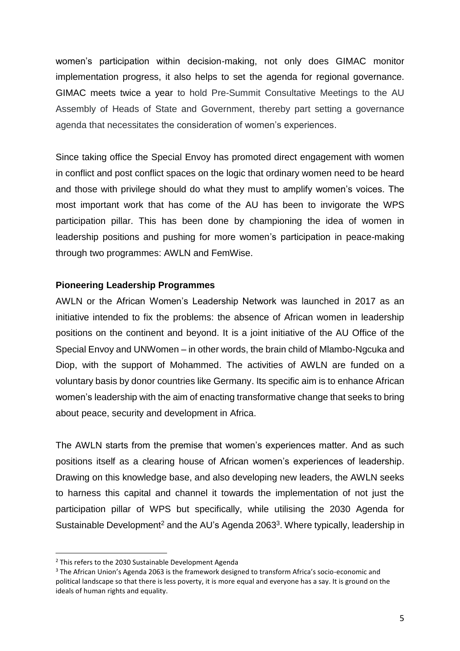women's participation within decision-making, not only does GIMAC monitor implementation progress, it also helps to set the agenda for regional governance. GIMAC meets twice a year to hold Pre-Summit Consultative Meetings to the AU Assembly of Heads of State and Government, thereby part setting a governance agenda that necessitates the consideration of women's experiences.

Since taking office the Special Envoy has promoted direct engagement with women in conflict and post conflict spaces on the logic that ordinary women need to be heard and those with privilege should do what they must to amplify women's voices. The most important work that has come of the AU has been to invigorate the WPS participation pillar. This has been done by championing the idea of women in leadership positions and pushing for more women's participation in peace-making through two programmes: AWLN and FemWise.

#### **Pioneering Leadership Programmes**

AWLN or the African Women's Leadership Network was launched in 2017 as an initiative intended to fix the problems: the absence of African women in leadership positions on the continent and beyond. It is a joint initiative of the AU Office of the Special Envoy and UNWomen – in other words, the brain child of Mlambo-Ngcuka and Diop, with the support of Mohammed. The activities of AWLN are funded on a voluntary basis by donor countries like Germany. Its specific aim is to enhance African women's leadership with the aim of enacting transformative change that seeks to bring about peace, security and development in Africa.

The AWLN starts from the premise that women's experiences matter. And as such positions itself as a clearing house of African women's experiences of leadership. Drawing on this knowledge base, and also developing new leaders, the AWLN seeks to harness this capital and channel it towards the implementation of not just the participation pillar of WPS but specifically, while utilising the 2030 Agenda for Sustainable Development<sup>2</sup> and the AU's Agenda 2063<sup>3</sup>. Where typically, leadership in

 $\overline{a}$ 

<sup>&</sup>lt;sup>2</sup> This refers to the 2030 Sustainable Development Agenda

<sup>&</sup>lt;sup>3</sup> The African Union's Agenda 2063 is the framework designed to transform Africa's socio-economic and political landscape so that there is less poverty, it is more equal and everyone has a say. It is ground on the ideals of human rights and equality.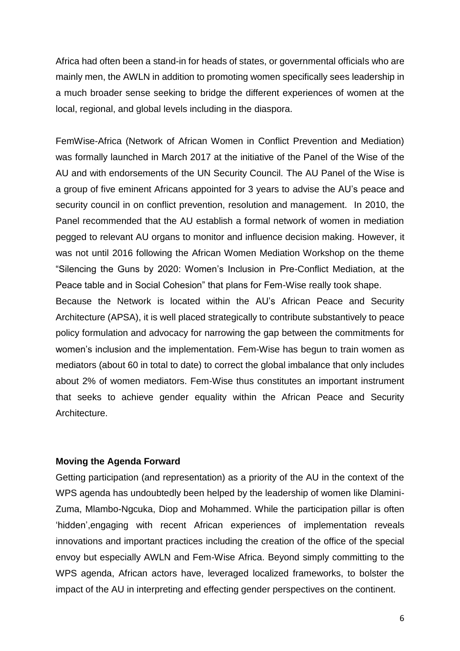Africa had often been a stand-in for heads of states, or governmental officials who are mainly men, the AWLN in addition to promoting women specifically sees leadership in a much broader sense seeking to bridge the different experiences of women at the local, regional, and global levels including in the diaspora.

FemWise-Africa (Network of African Women in Conflict Prevention and Mediation) was formally launched in March 2017 at the initiative of the Panel of the Wise of the AU and with endorsements of the UN Security Council. The AU Panel of the Wise is a group of five eminent Africans appointed for 3 years to advise the AU's peace and security council in on conflict prevention, resolution and management. In 2010, the Panel recommended that the AU establish a formal network of women in mediation pegged to relevant AU organs to monitor and influence decision making. However, it was not until 2016 following the African Women Mediation Workshop on the theme "Silencing the Guns by 2020: Women's Inclusion in Pre-Conflict Mediation, at the Peace table and in Social Cohesion" that plans for Fem-Wise really took shape.

Because the Network is located within the AU's African Peace and Security Architecture (APSA), it is well placed strategically to contribute substantively to peace policy formulation and advocacy for narrowing the gap between the commitments for women's inclusion and the implementation. Fem-Wise has begun to train women as mediators (about 60 in total to date) to correct the global imbalance that only includes about 2% of women mediators. Fem-Wise thus constitutes an important instrument that seeks to achieve gender equality within the African Peace and Security Architecture.

#### **Moving the Agenda Forward**

Getting participation (and representation) as a priority of the AU in the context of the WPS agenda has undoubtedly been helped by the leadership of women like Dlamini-Zuma, Mlambo-Ngcuka, Diop and Mohammed. While the participation pillar is often 'hidden',engaging with recent African experiences of implementation reveals innovations and important practices including the creation of the office of the special envoy but especially AWLN and Fem-Wise Africa. Beyond simply committing to the WPS agenda, African actors have, leveraged localized frameworks, to bolster the impact of the AU in interpreting and effecting gender perspectives on the continent.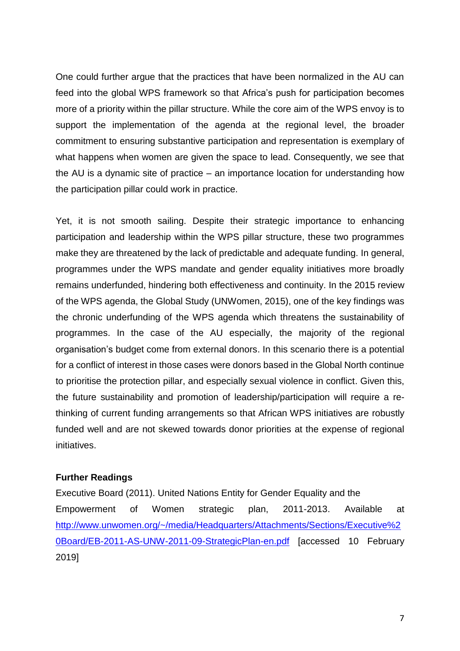One could further argue that the practices that have been normalized in the AU can feed into the global WPS framework so that Africa's push for participation becomes more of a priority within the pillar structure. While the core aim of the WPS envoy is to support the implementation of the agenda at the regional level, the broader commitment to ensuring substantive participation and representation is exemplary of what happens when women are given the space to lead. Consequently, we see that the AU is a dynamic site of practice – an importance location for understanding how the participation pillar could work in practice.

Yet, it is not smooth sailing. Despite their strategic importance to enhancing participation and leadership within the WPS pillar structure, these two programmes make they are threatened by the lack of predictable and adequate funding. In general, programmes under the WPS mandate and gender equality initiatives more broadly remains underfunded, hindering both effectiveness and continuity. In the 2015 review of the WPS agenda, the Global Study (UNWomen, 2015), one of the key findings was the chronic underfunding of the WPS agenda which threatens the sustainability of programmes. In the case of the AU especially, the majority of the regional organisation's budget come from external donors. In this scenario there is a potential for a conflict of interest in those cases were donors based in the Global North continue to prioritise the protection pillar, and especially sexual violence in conflict. Given this, the future sustainability and promotion of leadership/participation will require a rethinking of current funding arrangements so that African WPS initiatives are robustly funded well and are not skewed towards donor priorities at the expense of regional initiatives.

#### **Further Readings**

Executive Board (2011). United Nations Entity for Gender Equality and the Empowerment of Women strategic plan, 2011-2013. Available at [http://www.unwomen.org/~/media/Headquarters/Attachments/Sections/Executive%2](http://www.unwomen.org/~/media/Headquarters/Attachments/Sections/Executive%20Board/EB-2011-AS-UNW-2011-09-StrategicPlan-en.pdf) [0Board/EB-2011-AS-UNW-2011-09-StrategicPlan-en.pdf](http://www.unwomen.org/~/media/Headquarters/Attachments/Sections/Executive%20Board/EB-2011-AS-UNW-2011-09-StrategicPlan-en.pdf) [accessed 10 February 2019]